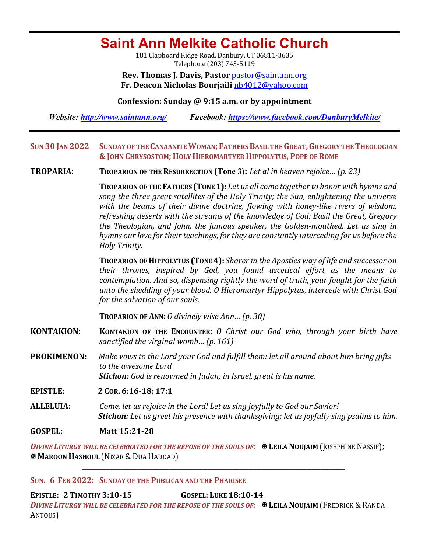# **Saint Ann Melkite Catholic Church**

181 Clapboard Ridge Road, Danbury, CT 06811-3635 Telephone (203) 743-5119

**Rev. Thomas J. Davis, Pastor** pastor@saintann.org **Fr. Deacon Nicholas Bourjaili** nb4012@yahoo.com

#### **Confession: Sunday @ 9:15 a.m. or by appointment**

*Website: http://www.saintann.org/ Facebook: https://www.facebook.com/DanburyMelkite/* 

#### SUN 30 JAN 2022 SUNDAY OF THE CANAANITE WOMAN; FATHERS BASIL THE GREAT, GREGORY THE THEOLOGIAN **& JOHN CHRYSOSTOM; HOLY HIEROMARTYER HIPPOLYTUS, POPE OF ROME**

**TROPARIA: TROPARION OF THE RESURRECTION** (Tone 3): Let al in heaven rejoice... (p. 23)

**TROPARION OF THE FATHERS (TONE 1):** Let us all come together to honor with hymns and song the three great satellites of the Holy Trinity; the Sun, enlightening the universe with the beams of their divine doctrine, flowing with honey-like rivers of wisdom, refreshing deserts with the streams of the knowledge of God: Basil the Great, Gregory the Theologian, and John, the famous speaker, the Golden-mouthed. Let us sing in hymns our love for their teachings, for they are constantly interceding for us before the *Holy Trinity.* 

**TROPARION OF HIPPOLYTUS (TONE 4):** *Sharer* in the Apostles way of life and successor on *their thrones, inspired by God, you found ascetical effort as the means to*  contemplation. And so, dispensing rightly the word of truth, your fought for the faith unto the shedding of your blood. O Hieromartyr Hippolytus, intercede with Christ God *for the salvation of our souls.* 

**TROPARION OF ANN:** *O* divinely wise Ann... (p. 30)

**KONTAKION: KONTAKION OF THE ENCOUNTER:** *O* Christ our God who, through your birth have *sanctified the virginal womb... (p. 161)* 

**PROKIMENON:** Make vows to the Lord your God and fulfill them: let all around about him bring gifts *to the awesome Lord Stichon: God is renowned in Judah; in Israel, great is his name.* 

**EPISTLE: <sup>2</sup> COR. 6:16-18; 17:1** 

**ALLELUIA:** Come, let us rejoice in the Lord! Let us sing joyfully to God our Savior! *Stichon: Let us greet his presence with thanksgiving; let us joyfully sing psalms to him.* 

**GOSPEL: Matt 15:21-28**

*DIVINE LITURGY WILL BE CELEBRATED FOR THE REPOSE OF THE SOULS OF:*  $\mathbb{R}$  **LEILA NOUJAIM** (JOSEPHINE NASSIF); **X MAROON HASHOUL** (NIZAR & DUA HADDAD)

**\_\_\_\_\_\_\_\_\_\_\_\_\_\_\_\_\_\_\_\_\_\_\_\_\_\_\_\_\_\_\_\_\_\_\_\_\_\_\_\_\_\_\_\_\_\_\_\_\_\_\_\_\_\_\_\_\_\_\_\_\_\_\_\_\_\_\_\_\_\_\_\_\_\_\_\_\_\_\_\_\_\_\_\_\_**

#### SUN. 6 FEB 2022: SUNDAY OF THE PUBLICAN AND THE PHARISEE

**EPISTLE: 2 TIMOTHY 3:10-15 GOSPEL: LUKE 18:10-14** *DIVINE LITURGY WILL BE CELEBRATED FOR THE REPOSE OF THE SOULS OF:* $\mathbf{\mathbf{\mathbf{\mathbf{\mathbf{\mathbf{X}}}}}$  **LEILA NOUJAIM (FREDRICK & RANDA** ANTOUS)